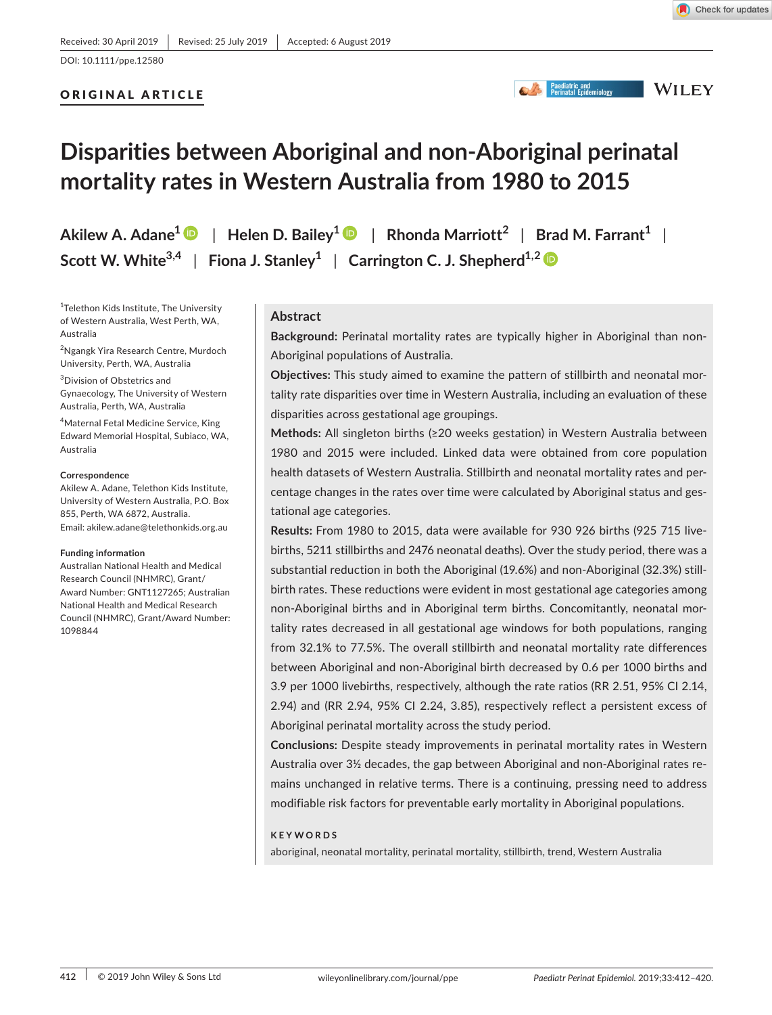ORIGINAL ARTICLE

Check for updates

# **State of Paediatric and<br>
Perinatal Epidemiology**

**WILEY** 

# **Disparities between Aboriginal and non‐Aboriginal perinatal mortality rates in Western Australia from 1980 to 2015**

**Akilew A. Adane[1](https://orcid.org/0000-0002-3022-5230)** | **Helen D. Bailey[1](https://orcid.org/0000-0002-1259-3793)** | **Rhonda Marriott<sup>2</sup>** | **Brad M. Farrant1** | **Scott W.** White<sup>3,4</sup> | Fiona J. Stanley<sup>1</sup> | Carrington C. J. Shepherd<sup>1,[2](https://orcid.org/0000-0003-0043-7053)</sup>  $\bullet$ 

1 Telethon Kids Institute, The University of Western Australia, West Perth, WA, Australia

2 Ngangk Yira Research Centre, Murdoch University, Perth, WA, Australia

3 Division of Obstetrics and Gynaecology, The University of Western Australia, Perth, WA, Australia

4 Maternal Fetal Medicine Service, King Edward Memorial Hospital, Subiaco, WA, Australia

#### **Correspondence**

Akilew A. Adane, Telethon Kids Institute, University of Western Australia, P.O. Box 855, Perth, WA 6872, Australia. Email: [akilew.adane@telethonkids.org.au](mailto:akilew.adane@telethonkids.org.au)

#### **Funding information**

Australian National Health and Medical Research Council (NHMRC), Grant/ Award Number: GNT1127265; Australian National Health and Medical Research Council (NHMRC), Grant/Award Number: 1098844

## **Abstract**

**Background:** Perinatal mortality rates are typically higher in Aboriginal than non‐ Aboriginal populations of Australia.

**Objectives:** This study aimed to examine the pattern of stillbirth and neonatal mor‐ tality rate disparities over time in Western Australia, including an evaluation of these disparities across gestational age groupings.

**Methods:** All singleton births (≥20 weeks gestation) in Western Australia between 1980 and 2015 were included. Linked data were obtained from core population health datasets of Western Australia. Stillbirth and neonatal mortality rates and per‐ centage changes in the rates over time were calculated by Aboriginal status and ges‐ tational age categories.

**Results:** From 1980 to 2015, data were available for 930 926 births (925 715 live‐ births, 5211 stillbirths and 2476 neonatal deaths). Over the study period, there was a substantial reduction in both the Aboriginal (19.6%) and non-Aboriginal (32.3%) stillbirth rates. These reductions were evident in most gestational age categories among non‐Aboriginal births and in Aboriginal term births. Concomitantly, neonatal mor‐ tality rates decreased in all gestational age windows for both populations, ranging from 32.1% to 77.5%. The overall stillbirth and neonatal mortality rate differences between Aboriginal and non‐Aboriginal birth decreased by 0.6 per 1000 births and 3.9 per 1000 livebirths, respectively, although the rate ratios (RR 2.51, 95% CI 2.14, 2.94) and (RR 2.94, 95% CI 2.24, 3.85), respectively reflect a persistent excess of Aboriginal perinatal mortality across the study period.

**Conclusions:** Despite steady improvements in perinatal mortality rates in Western Australia over 3½ decades, the gap between Aboriginal and non‐Aboriginal rates re‐ mains unchanged in relative terms. There is a continuing, pressing need to address modifiable risk factors for preventable early mortality in Aboriginal populations.

#### **KEYWORDS**

aboriginal, neonatal mortality, perinatal mortality, stillbirth, trend, Western Australia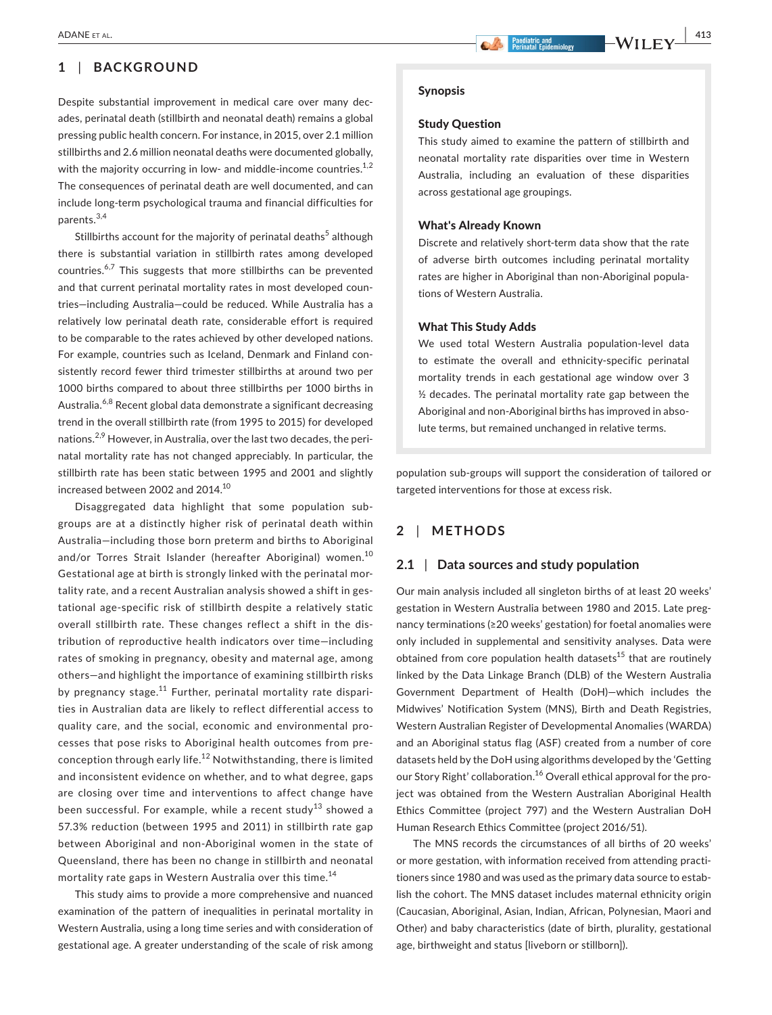# **1** | **BACKGROUND**

Despite substantial improvement in medical care over many dec‐ ades, perinatal death (stillbirth and neonatal death) remains a global pressing public health concern. For instance, in 2015, over 2.1 million stillbirths and 2.6 million neonatal deaths were documented globally, with the majority occurring in low- and middle-income countries.<sup>1,2</sup> The consequences of perinatal death are well documented, and can include long‐term psychological trauma and financial difficulties for parents.3,4

Stillbirths account for the majority of perinatal deaths<sup>5</sup> although there is substantial variation in stillbirth rates among developed countries.<sup>6,7</sup> This suggests that more stillbirths can be prevented and that current perinatal mortality rates in most developed countries—including Australia—could be reduced. While Australia has a relatively low perinatal death rate, considerable effort is required to be comparable to the rates achieved by other developed nations. For example, countries such as Iceland, Denmark and Finland con‐ sistently record fewer third trimester stillbirths at around two per 1000 births compared to about three stillbirths per 1000 births in Australia.<sup>6,8</sup> Recent global data demonstrate a significant decreasing trend in the overall stillbirth rate (from 1995 to 2015) for developed nations.<sup>2,9</sup> However, in Australia, over the last two decades, the perinatal mortality rate has not changed appreciably. In particular, the stillbirth rate has been static between 1995 and 2001 and slightly increased between 2002 and 2014.<sup>10</sup>

Disaggregated data highlight that some population sub‐ groups are at a distinctly higher risk of perinatal death within Australia—including those born preterm and births to Aboriginal and/or Torres Strait Islander (hereafter Aboriginal) women.<sup>10</sup> Gestational age at birth is strongly linked with the perinatal mor‐ tality rate, and a recent Australian analysis showed a shift in ges‐ tational age‐specific risk of stillbirth despite a relatively static overall stillbirth rate. These changes reflect a shift in the dis‐ tribution of reproductive health indicators over time—including rates of smoking in pregnancy, obesity and maternal age, among others—and highlight the importance of examining stillbirth risks by pregnancy stage.<sup>11</sup> Further, perinatal mortality rate disparities in Australian data are likely to reflect differential access to quality care, and the social, economic and environmental pro‐ cesses that pose risks to Aboriginal health outcomes from pre‐ conception through early life.<sup>12</sup> Notwithstanding, there is limited and inconsistent evidence on whether, and to what degree, gaps are closing over time and interventions to affect change have been successful. For example, while a recent study<sup>13</sup> showed a 57.3% reduction (between 1995 and 2011) in stillbirth rate gap between Aboriginal and non‐Aboriginal women in the state of Queensland, there has been no change in stillbirth and neonatal mortality rate gaps in Western Australia over this time.<sup>14</sup>

This study aims to provide a more comprehensive and nuanced examination of the pattern of inequalities in perinatal mortality in Western Australia, using a long time series and with consideration of gestational age. A greater understanding of the scale of risk among

#### Synopsis

#### Study Question

This study aimed to examine the pattern of stillbirth and neonatal mortality rate disparities over time in Western Australia, including an evaluation of these disparities across gestational age groupings.

#### What's Already Known

Discrete and relatively short‐term data show that the rate of adverse birth outcomes including perinatal mortality rates are higher in Aboriginal than non‐Aboriginal popula‐ tions of Western Australia.

#### What This Study Adds

We used total Western Australia population‐level data to estimate the overall and ethnicity‐specific perinatal mortality trends in each gestational age window over 3 ½ decades. The perinatal mortality rate gap between the Aboriginal and non‐Aboriginal births has improved in abso‐ lute terms, but remained unchanged in relative terms.

population sub‐groups will support the consideration of tailored or targeted interventions for those at excess risk.

## **2** | **METHODS**

## **2.1** | **Data sources and study population**

Our main analysis included all singleton births of at least 20 weeks' gestation in Western Australia between 1980 and 2015. Late preg‐ nancy terminations (≥20 weeks' gestation) for foetal anomalies were only included in supplemental and sensitivity analyses. Data were obtained from core population health datasets $15$  that are routinely linked by the Data Linkage Branch (DLB) of the Western Australia Government Department of Health (DoH)—which includes the Midwives' Notification System (MNS), Birth and Death Registries, Western Australian Register of Developmental Anomalies (WARDA) and an Aboriginal status flag (ASF) created from a number of core datasets held by the DoH using algorithms developed by the 'Getting our Story Right' collaboration.<sup>16</sup> Overall ethical approval for the project was obtained from the Western Australian Aboriginal Health Ethics Committee (project 797) and the Western Australian DoH Human Research Ethics Committee (project 2016/51).

The MNS records the circumstances of all births of 20 weeks' or more gestation, with information received from attending practi‐ tioners since 1980 and was used as the primary data source to estab‐ lish the cohort. The MNS dataset includes maternal ethnicity origin (Caucasian, Aboriginal, Asian, Indian, African, Polynesian, Maori and Other) and baby characteristics (date of birth, plurality, gestational age, birthweight and status [liveborn or stillborn]).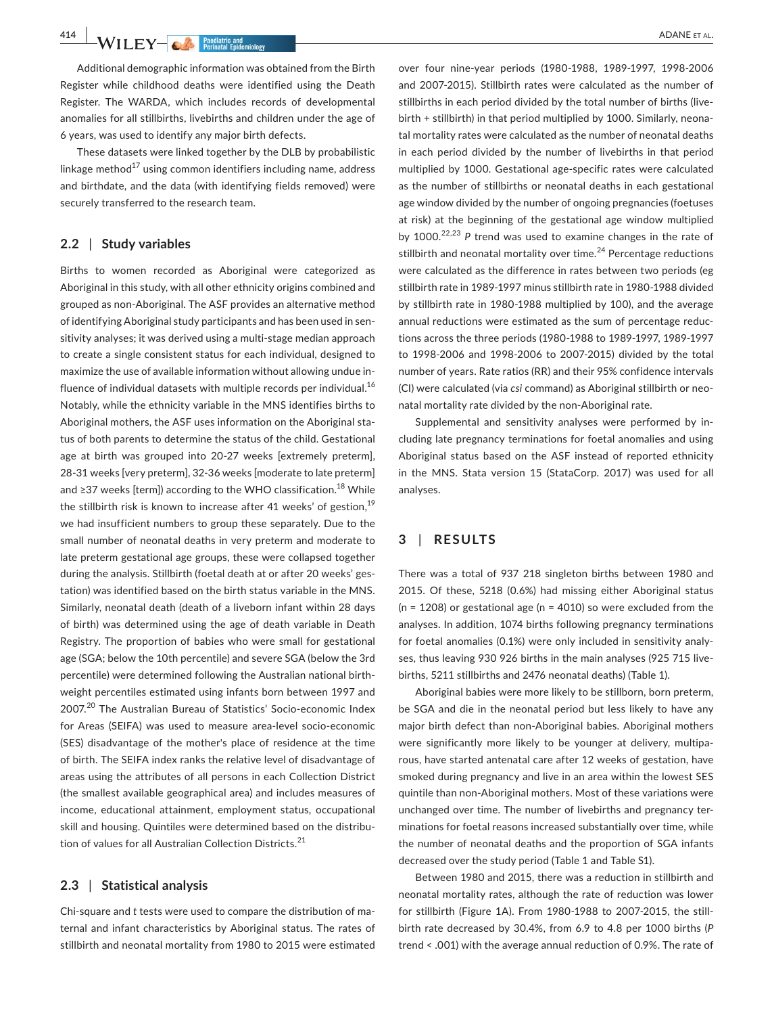**414 WII FY and the set of the set of the set of the set of the set of the set of the set of the set of the set of the set of the set of the set of the set of the set of the set of the set of the set of the set of the se** 

Additional demographic information was obtained from the Birth Register while childhood deaths were identified using the Death Register. The WARDA, which includes records of developmental anomalies for all stillbirths, livebirths and children under the age of 6 years, was used to identify any major birth defects.

These datasets were linked together by the DLB by probabilistic linkage method $^{17}$  using common identifiers including name, address and birthdate, and the data (with identifying fields removed) were securely transferred to the research team.

### **2.2** | **Study variables**

Births to women recorded as Aboriginal were categorized as Aboriginal in this study, with all other ethnicity origins combined and grouped as non‐Aboriginal. The ASF provides an alternative method of identifying Aboriginal study participants and has been used in sen‐ sitivity analyses; it was derived using a multi‐stage median approach to create a single consistent status for each individual, designed to maximize the use of available information without allowing undue in‐ fluence of individual datasets with multiple records per individual. $16$ Notably, while the ethnicity variable in the MNS identifies births to Aboriginal mothers, the ASF uses information on the Aboriginal sta‐ tus of both parents to determine the status of the child. Gestational age at birth was grouped into 20-27 weeks [extremely preterm], 28‐31 weeks [very preterm], 32‐36 weeks [moderate to late preterm] and ≥37 weeks [term]) according to the WHO classification.<sup>18</sup> While the stillbirth risk is known to increase after 41 weeks' of gestion,  $19$ we had insufficient numbers to group these separately. Due to the small number of neonatal deaths in very preterm and moderate to late preterm gestational age groups, these were collapsed together during the analysis. Stillbirth (foetal death at or after 20 weeks' ges‐ tation) was identified based on the birth status variable in the MNS. Similarly, neonatal death (death of a liveborn infant within 28 days of birth) was determined using the age of death variable in Death Registry. The proportion of babies who were small for gestational age (SGA; below the 10th percentile) and severe SGA (below the 3rd percentile) were determined following the Australian national birth‐ weight percentiles estimated using infants born between 1997 and 2007.<sup>20</sup> The Australian Bureau of Statistics' Socio-economic Index for Areas (SEIFA) was used to measure area‐level socio‐economic (SES) disadvantage of the mother's place of residence at the time of birth. The SEIFA index ranks the relative level of disadvantage of areas using the attributes of all persons in each Collection District (the smallest available geographical area) and includes measures of income, educational attainment, employment status, occupational skill and housing. Quintiles were determined based on the distribution of values for all Australian Collection Districts.<sup>21</sup>

## **2.3** | **Statistical analysis**

Chi‐square and *t* tests were used to compare the distribution of ma‐ ternal and infant characteristics by Aboriginal status. The rates of stillbirth and neonatal mortality from 1980 to 2015 were estimated over four nine‐year periods (1980‐1988, 1989‐1997, 1998‐2006 and 2007‐2015). Stillbirth rates were calculated as the number of stillbirths in each period divided by the total number of births (live‐ birth + stillbirth) in that period multiplied by 1000. Similarly, neona‐ tal mortality rates were calculated as the number of neonatal deaths in each period divided by the number of livebirths in that period multiplied by 1000. Gestational age‐specific rates were calculated as the number of stillbirths or neonatal deaths in each gestational age window divided by the number of ongoing pregnancies (foetuses at risk) at the beginning of the gestational age window multiplied by 1000.<sup>22,23</sup> P trend was used to examine changes in the rate of stillbirth and neonatal mortality over time. $^{24}$  Percentage reductions were calculated as the difference in rates between two periods (eg stillbirth rate in 1989‐1997 minus stillbirth rate in 1980‐1988 divided by stillbirth rate in 1980‐1988 multiplied by 100), and the average annual reductions were estimated as the sum of percentage reduc‐ tions across the three periods (1980‐1988 to 1989‐1997, 1989‐1997 to 1998‐2006 and 1998‐2006 to 2007‐2015) divided by the total number of years. Rate ratios (RR) and their 95% confidence intervals (CI) were calculated (via *csi* command) as Aboriginal stillbirth or neo‐ natal mortality rate divided by the non‐Aboriginal rate.

Supplemental and sensitivity analyses were performed by in‐ cluding late pregnancy terminations for foetal anomalies and using Aboriginal status based on the ASF instead of reported ethnicity in the MNS. Stata version 15 (StataCorp. 2017) was used for all analyses.

## **3** | **RESULTS**

There was a total of 937 218 singleton births between 1980 and 2015. Of these, 5218 (0.6%) had missing either Aboriginal status  $(n = 1208)$  or gestational age  $(n = 4010)$  so were excluded from the analyses. In addition, 1074 births following pregnancy terminations for foetal anomalies (0.1%) were only included in sensitivity analy‐ ses, thus leaving 930 926 births in the main analyses (925 715 live‐ births, 5211 stillbirths and 2476 neonatal deaths) (Table 1).

Aboriginal babies were more likely to be stillborn, born preterm, be SGA and die in the neonatal period but less likely to have any major birth defect than non‐Aboriginal babies. Aboriginal mothers were significantly more likely to be younger at delivery, multiparous, have started antenatal care after 12 weeks of gestation, have smoked during pregnancy and live in an area within the lowest SES quintile than non‐Aboriginal mothers. Most of these variations were unchanged over time. The number of livebirths and pregnancy ter‐ minations for foetal reasons increased substantially over time, while the number of neonatal deaths and the proportion of SGA infants decreased over the study period (Table 1 and Table S1).

Between 1980 and 2015, there was a reduction in stillbirth and neonatal mortality rates, although the rate of reduction was lower for stillbirth (Figure 1A). From 1980‐1988 to 2007‐2015, the still‐ birth rate decreased by 30.4%, from 6.9 to 4.8 per 1000 births (*P* trend < .001) with the average annual reduction of 0.9%. The rate of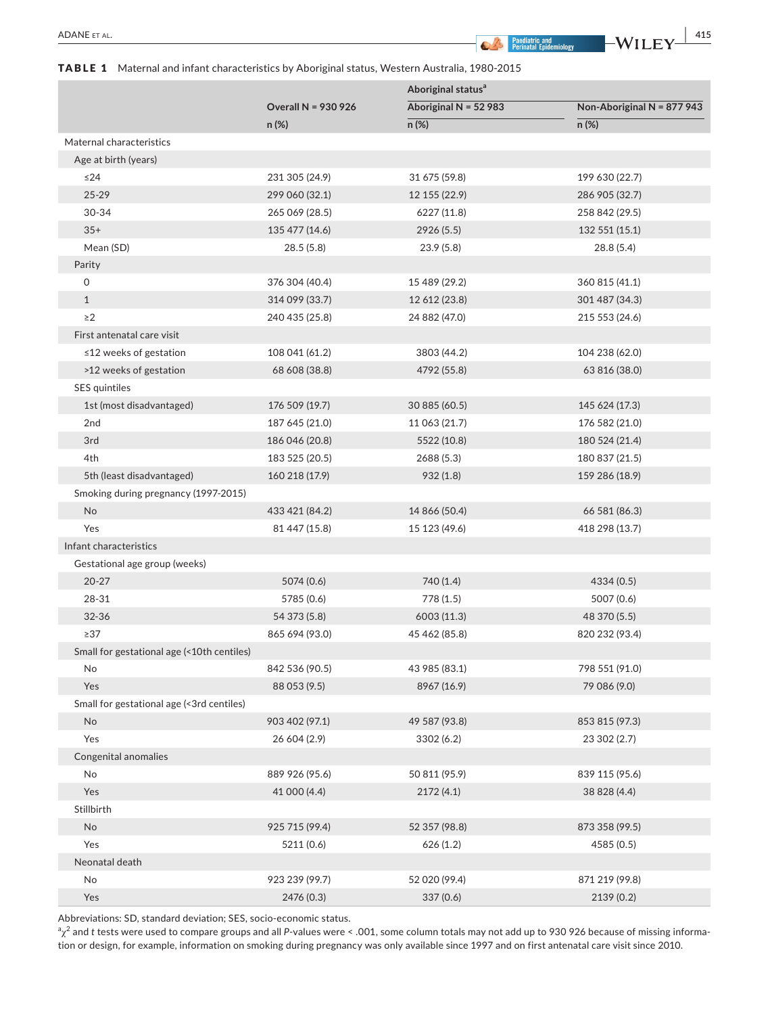## TABLE 1 Maternal and infant characteristics by Aboriginal status, Western Australia, 1980-2015

|                                            |                            | Aboriginal status <sup>a</sup> |                            |  |
|--------------------------------------------|----------------------------|--------------------------------|----------------------------|--|
|                                            | <b>Overall N = 930 926</b> | Aboriginal N = $52$ 983        | Non-Aboriginal N = 877 943 |  |
|                                            | n (%)                      | n (%)                          | n (%)                      |  |
| Maternal characteristics                   |                            |                                |                            |  |
| Age at birth (years)                       |                            |                                |                            |  |
| $\leq$ 24                                  | 231 305 (24.9)             | 31 675 (59.8)                  | 199 630 (22.7)             |  |
| $25 - 29$                                  | 299 060 (32.1)             | 12 155 (22.9)                  | 286 905 (32.7)             |  |
| 30-34                                      | 265 069 (28.5)             | 6227 (11.8)                    | 258 842 (29.5)             |  |
| $35+$                                      | 135 477 (14.6)             | 2926(5.5)                      | 132 551 (15.1)             |  |
| Mean (SD)                                  | 28.5(5.8)                  | 23.9(5.8)                      | 28.8 (5.4)                 |  |
| Parity                                     |                            |                                |                            |  |
| 0                                          | 376 304 (40.4)             | 15 489 (29.2)                  | 360 815 (41.1)             |  |
| $\mathbf{1}$                               | 314 099 (33.7)             | 12 612 (23.8)                  | 301 487 (34.3)             |  |
| $\geq$ 2                                   | 240 435 (25.8)             | 24 882 (47.0)                  | 215 553 (24.6)             |  |
| First antenatal care visit                 |                            |                                |                            |  |
| $\leq$ 12 weeks of gestation               | 108 041 (61.2)             | 3803 (44.2)                    | 104 238 (62.0)             |  |
| >12 weeks of gestation                     | 68 608 (38.8)              | 4792 (55.8)                    | 63 816 (38.0)              |  |
| SES quintiles                              |                            |                                |                            |  |
| 1st (most disadvantaged)                   | 176 509 (19.7)             | 30 885 (60.5)                  | 145 624 (17.3)             |  |
| 2nd                                        | 187 645 (21.0)             | 11 063 (21.7)                  | 176 582 (21.0)             |  |
| 3rd                                        | 186 046 (20.8)             | 5522 (10.8)                    | 180 524 (21.4)             |  |
| 4th                                        | 183 525 (20.5)             | 2688 (5.3)                     | 180 837 (21.5)             |  |
| 5th (least disadvantaged)                  | 160 218 (17.9)             | 932(1.8)                       | 159 286 (18.9)             |  |
| Smoking during pregnancy (1997-2015)       |                            |                                |                            |  |
| No                                         | 433 421 (84.2)             | 14 866 (50.4)                  | 66 581 (86.3)              |  |
| Yes                                        | 81 447 (15.8)              | 15 123 (49.6)                  | 418 298 (13.7)             |  |
| Infant characteristics                     |                            |                                |                            |  |
| Gestational age group (weeks)              |                            |                                |                            |  |
| $20 - 27$                                  | 5074 (0.6)                 | 740 (1.4)                      | 4334 (0.5)                 |  |
| 28-31                                      | 5785 (0.6)                 | 778 (1.5)                      | 5007 (0.6)                 |  |
| 32-36                                      | 54 373 (5.8)               | 6003 (11.3)                    | 48 370 (5.5)               |  |
| $\geq$ 37                                  | 865 694 (93.0)             | 45 462 (85.8)                  | 820 232 (93.4)             |  |
| Small for gestational age (<10th centiles) |                            |                                |                            |  |
| No                                         | 842 536 (90.5)             | 43 985 (83.1)                  | 798 551 (91.0)             |  |
| Yes                                        | 88 053 (9.5)               | 8967 (16.9)                    | 79 086 (9.0)               |  |
| Small for gestational age (<3rd centiles)  |                            |                                |                            |  |
| No                                         | 903 402 (97.1)             | 49 587 (93.8)                  | 853 815 (97.3)             |  |
| Yes                                        | 26 604 (2.9)               | 3302 (6.2)                     | 23 302 (2.7)               |  |
| Congenital anomalies                       |                            |                                |                            |  |
| No                                         | 889 926 (95.6)             | 50 811 (95.9)                  | 839 115 (95.6)             |  |
| Yes                                        | 41 000 (4.4)               | 2172(4.1)                      | 38 828 (4.4)               |  |
| Stillbirth                                 |                            |                                |                            |  |
| No                                         | 925 715 (99.4)             | 52 357 (98.8)                  | 873 358 (99.5)             |  |
| Yes                                        | 5211 (0.6)                 | 626(1.2)                       | 4585 (0.5)                 |  |
| Neonatal death                             |                            |                                |                            |  |
| No                                         | 923 239 (99.7)             | 52 020 (99.4)                  | 871 219 (99.8)             |  |
| Yes                                        | 2476 (0.3)                 | 337 (0.6)                      | 2139 (0.2)                 |  |

Abbreviations: SD, standard deviation; SES, socio‐economic status.

 $^{\rm a} \chi^{\rm 2}$  and  $t$  tests were used to compare groups and all *P*‐values were < .001, some column totals may not add up to 930 926 because of missing informa‐ tion or design, for example, information on smoking during pregnancy was only available since 1997 and on first antenatal care visit since 2010.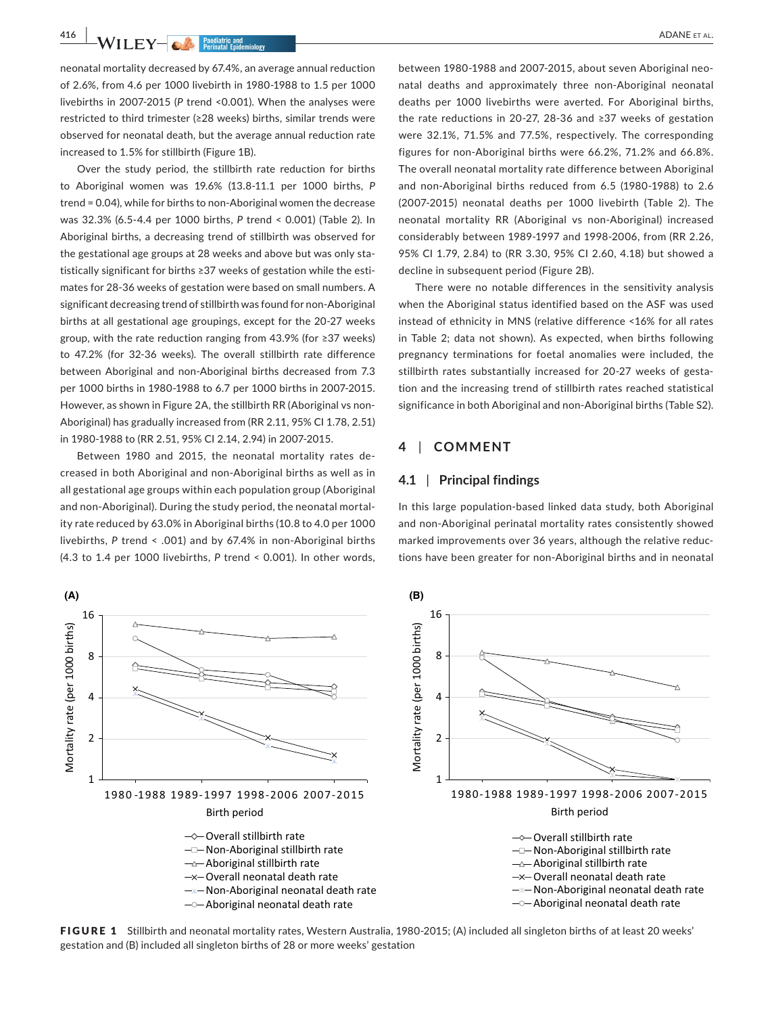**416 WILEY-CA Predictive and Periodic Findermichosy** 

neonatal mortality decreased by 67.4%, an average annual reduction of 2.6%, from 4.6 per 1000 livebirth in 1980‐1988 to 1.5 per 1000 livebirths in 2007‐2015 (*P* trend <0.001). When the analyses were restricted to third trimester (≥28 weeks) births, similar trends were observed for neonatal death, but the average annual reduction rate increased to 1.5% for stillbirth (Figure 1B).

Over the study period, the stillbirth rate reduction for births to Aboriginal women was 19.6% (13.8‐11.1 per 1000 births, *P* trend = 0.04), while for births to non‐Aboriginal women the decrease was 32.3% (6.5‐4.4 per 1000 births, *P* trend < 0.001) (Table 2). In Aboriginal births, a decreasing trend of stillbirth was observed for the gestational age groups at 28 weeks and above but was only statistically significant for births ≥37 weeks of gestation while the esti‐ mates for 28‐36 weeks of gestation were based on small numbers. A significant decreasing trend of stillbirth was found for non‐Aboriginal births at all gestational age groupings, except for the 20‐27 weeks group, with the rate reduction ranging from 43.9% (for ≥37 weeks) to 47.2% (for 32‐36 weeks). The overall stillbirth rate difference between Aboriginal and non‐Aboriginal births decreased from 7.3 per 1000 births in 1980‐1988 to 6.7 per 1000 births in 2007‐2015. However, as shown in Figure 2A, the stillbirth RR (Aboriginal vs non‐ Aboriginal) has gradually increased from (RR 2.11, 95% CI 1.78, 2.51) in 1980‐1988 to (RR 2.51, 95% CI 2.14, 2.94) in 2007‐2015.

Between 1980 and 2015, the neonatal mortality rates de‐ creased in both Aboriginal and non‐Aboriginal births as well as in all gestational age groups within each population group (Aboriginal and non-Aboriginal). During the study period, the neonatal mortality rate reduced by 63.0% in Aboriginal births (10.8 to 4.0 per 1000 livebirths, *P* trend < .001) and by 67.4% in non‐Aboriginal births (4.3 to 1.4 per 1000 livebirths, *P* trend < 0.001). In other words,

between 1980‐1988 and 2007‐2015, about seven Aboriginal neo‐ natal deaths and approximately three non‐Aboriginal neonatal deaths per 1000 livebirths were averted. For Aboriginal births, the rate reductions in 20‐27, 28‐36 and ≥37 weeks of gestation were 32.1%, 71.5% and 77.5%, respectively. The corresponding figures for non‐Aboriginal births were 66.2%, 71.2% and 66.8%. The overall neonatal mortality rate difference between Aboriginal and non‐Aboriginal births reduced from 6.5 (1980‐1988) to 2.6 (2007‐2015) neonatal deaths per 1000 livebirth (Table 2). The neonatal mortality RR (Aboriginal vs non‐Aboriginal) increased considerably between 1989‐1997 and 1998‐2006, from (RR 2.26, 95% CI 1.79, 2.84) to (RR 3.30, 95% CI 2.60, 4.18) but showed a decline in subsequent period (Figure 2B).

There were no notable differences in the sensitivity analysis when the Aboriginal status identified based on the ASF was used instead of ethnicity in MNS (relative difference <16% for all rates in Table 2; data not shown). As expected, when births following pregnancy terminations for foetal anomalies were included, the stillbirth rates substantially increased for 20‐27 weeks of gesta‐ tion and the increasing trend of stillbirth rates reached statistical significance in both Aboriginal and non‐Aboriginal births (Table S2).

#### **4** | **COMMENT**

#### **4.1** | **Principal findings**

In this large population‐based linked data study, both Aboriginal and non‐Aboriginal perinatal mortality rates consistently showed marked improvements over 36 years, although the relative reduc‐ tions have been greater for non‐Aboriginal births and in neonatal



FIGURE 1 Stillbirth and neonatal mortality rates, Western Australia, 1980-2015; (A) included all singleton births of at least 20 weeks' gestation and (B) included all singleton births of 28 or more weeks' gestation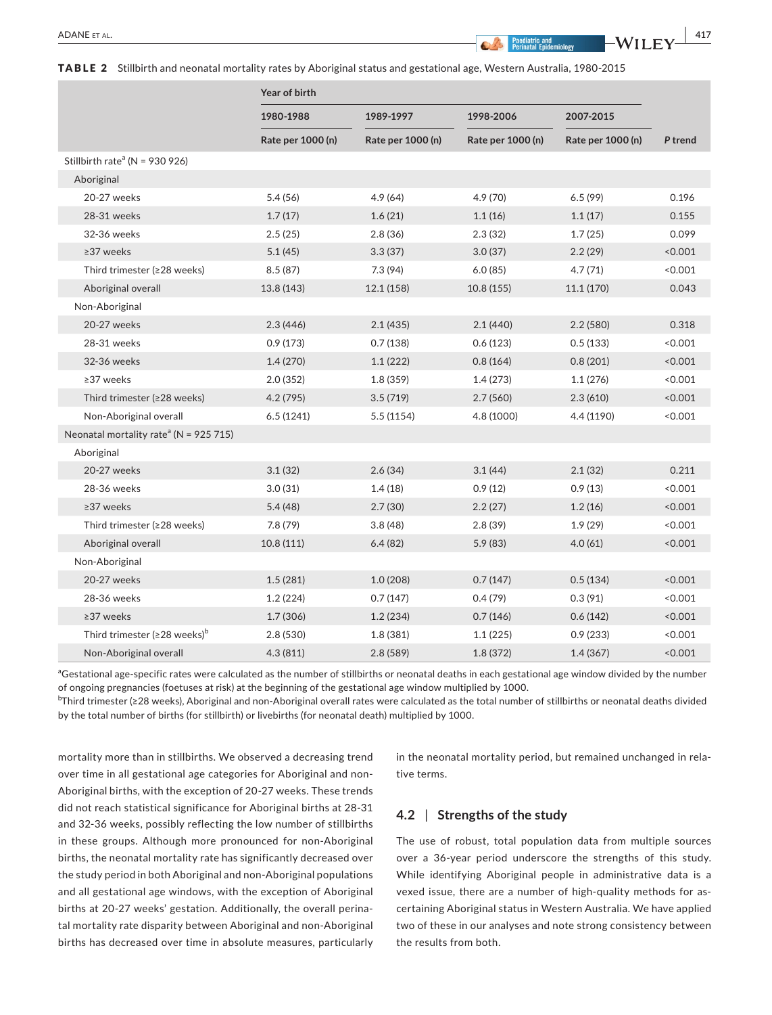TABLE 2 Stillbirth and neonatal mortality rates by Aboriginal status and gestational age, Western Australia, 1980‐2015

|                                                    | Year of birth     |                   |                   |                   |         |
|----------------------------------------------------|-------------------|-------------------|-------------------|-------------------|---------|
|                                                    | 1980-1988         | 1989-1997         | 1998-2006         | 2007-2015         |         |
|                                                    | Rate per 1000 (n) | Rate per 1000 (n) | Rate per 1000 (n) | Rate per 1000 (n) | P trend |
| Stillbirth rate <sup>a</sup> (N = 930 926)         |                   |                   |                   |                   |         |
| Aboriginal                                         |                   |                   |                   |                   |         |
| 20-27 weeks                                        | 5.4(56)           | 4.9(64)           | 4.9 (70)          | 6.5(99)           | 0.196   |
| 28-31 weeks                                        | 1.7(17)           | 1.6(21)           | 1.1(16)           | 1.1(17)           | 0.155   |
| 32-36 weeks                                        | 2.5(25)           | 2.8(36)           | 2.3(32)           | 1.7(25)           | 0.099   |
| ≥37 weeks                                          | 5.1(45)           | 3.3(37)           | 3.0(37)           | 2.2(29)           | < 0.001 |
| Third trimester (≥28 weeks)                        | 8.5(87)           | 7.3(94)           | 6.0(85)           | 4.7(71)           | < 0.001 |
| Aboriginal overall                                 | 13.8 (143)        | 12.1 (158)        | 10.8(155)         | 11.1 (170)        | 0.043   |
| Non-Aboriginal                                     |                   |                   |                   |                   |         |
| 20-27 weeks                                        | 2.3(446)          | 2.1(435)          | 2.1(440)          | 2.2(580)          | 0.318   |
| 28-31 weeks                                        | 0.9(173)          | 0.7(138)          | 0.6(123)          | 0.5(133)          | < 0.001 |
| 32-36 weeks                                        | 1.4(270)          | 1.1(222)          | 0.8(164)          | 0.8(201)          | 0.001   |
| $\geq$ 37 weeks                                    | 2.0(352)          | 1.8(359)          | 1.4(273)          | 1.1(276)          | < 0.001 |
| Third trimester (≥28 weeks)                        | 4.2(795)          | 3.5(719)          | 2.7(560)          | 2.3(610)          | < 0.001 |
| Non-Aboriginal overall                             | 6.5(1241)         | 5.5(1154)         | 4.8 (1000)        | 4.4 (1190)        | 0.001   |
| Neonatal mortality rate <sup>a</sup> (N = 925 715) |                   |                   |                   |                   |         |
| Aboriginal                                         |                   |                   |                   |                   |         |
| 20-27 weeks                                        | 3.1(32)           | 2.6(34)           | 3.1(44)           | 2.1(32)           | 0.211   |
| 28-36 weeks                                        | 3.0(31)           | 1.4(18)           | 0.9(12)           | 0.9(13)           | < 0.001 |
| ≥37 weeks                                          | 5.4(48)           | 2.7(30)           | 2.2(27)           | 1.2(16)           | < 0.001 |
| Third trimester (≥28 weeks)                        | 7.8(79)           | 3.8(48)           | 2.8(39)           | 1.9(29)           | < 0.001 |
| Aboriginal overall                                 | 10.8(111)         | 6.4(82)           | 5.9(83)           | 4.0(61)           | < 0.001 |
| Non-Aboriginal                                     |                   |                   |                   |                   |         |
| 20-27 weeks                                        | 1.5(281)          | 1.0(208)          | 0.7(147)          | 0.5(134)          | < 0.001 |
| 28-36 weeks                                        | 1.2(224)          | 0.7(147)          | 0.4(79)           | 0.3(91)           | < 0.001 |
| ≥37 weeks                                          | 1.7(306)          | 1.2(234)          | 0.7(146)          | 0.6(142)          | < 0.001 |
| Third trimester ( $\geq$ 28 weeks) <sup>b</sup>    | 2.8(530)          | 1.8(381)          | 1.1(225)          | 0.9(233)          | 0.001   |
| Non-Aboriginal overall                             | 4.3(811)          | 2.8(589)          | 1.8(372)          | 1.4(367)          | < 0.001 |

aGestational age-specific rates were calculated as the number of stillbirths or neonatal deaths in each gestational age window divided by the number of ongoing pregnancies (foetuses at risk) at the beginning of the gestational age window multiplied by 1000.

b Third trimester (≥28 weeks), Aboriginal and non‐Aboriginal overall rates were calculated as the total number of stillbirths or neonatal deaths divided by the total number of births (for stillbirth) or livebirths (for neonatal death) multiplied by 1000.

mortality more than in stillbirths. We observed a decreasing trend over time in all gestational age categories for Aboriginal and non‐ Aboriginal births, with the exception of 20‐27 weeks. These trends did not reach statistical significance for Aboriginal births at 28‐31 and 32‐36 weeks, possibly reflecting the low number of stillbirths in these groups. Although more pronounced for non‐Aboriginal births, the neonatal mortality rate has significantly decreased over the study period in both Aboriginal and non‐Aboriginal populations and all gestational age windows, with the exception of Aboriginal births at 20‐27 weeks' gestation. Additionally, the overall perina‐ tal mortality rate disparity between Aboriginal and non‐Aboriginal births has decreased over time in absolute measures, particularly

in the neonatal mortality period, but remained unchanged in rela‐ tive terms.

## **4.2** | **Strengths of the study**

The use of robust, total population data from multiple sources over a 36‐year period underscore the strengths of this study. While identifying Aboriginal people in administrative data is a vexed issue, there are a number of high-quality methods for ascertaining Aboriginal status in Western Australia. We have applied two of these in our analyses and note strong consistency between the results from both.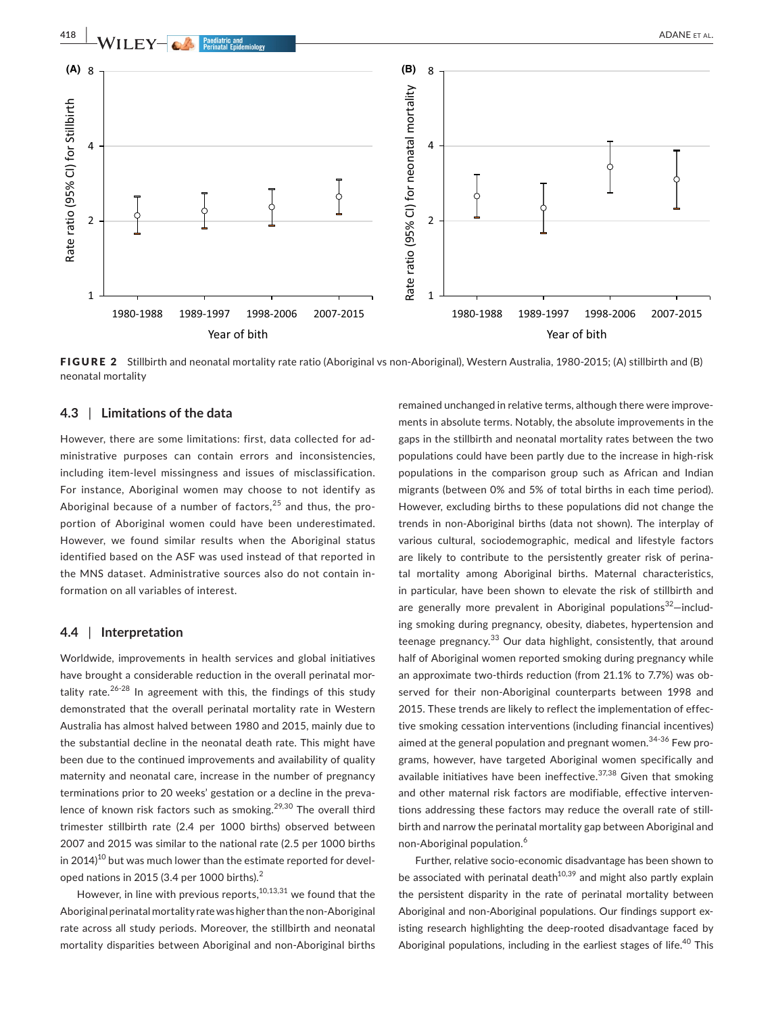

FIGURE 2 Stillbirth and neonatal mortality rate ratio (Aboriginal vs non-Aboriginal), Western Australia, 1980-2015; (A) stillbirth and (B) neonatal mortality

## **4.3** | **Limitations of the data**

However, there are some limitations: first, data collected for ad‐ ministrative purposes can contain errors and inconsistencies, including item‐level missingness and issues of misclassification. For instance, Aboriginal women may choose to not identify as Aboriginal because of a number of factors, $25$  and thus, the proportion of Aboriginal women could have been underestimated. However, we found similar results when the Aboriginal status identified based on the ASF was used instead of that reported in the MNS dataset. Administrative sources also do not contain in‐ formation on all variables of interest.

## **4.4** | **Interpretation**

Worldwide, improvements in health services and global initiatives have brought a considerable reduction in the overall perinatal mortality rate. $26-28$  In agreement with this, the findings of this study demonstrated that the overall perinatal mortality rate in Western Australia has almost halved between 1980 and 2015, mainly due to the substantial decline in the neonatal death rate. This might have been due to the continued improvements and availability of quality maternity and neonatal care, increase in the number of pregnancy terminations prior to 20 weeks' gestation or a decline in the preva‐ lence of known risk factors such as smoking.<sup>29,30</sup> The overall third trimester stillbirth rate (2.4 per 1000 births) observed between 2007 and 2015 was similar to the national rate (2.5 per 1000 births in 2014)<sup>10</sup> but was much lower than the estimate reported for developed nations in 2015 (3.4 per 1000 births).<sup>2</sup>

However, in line with previous reports, $10,13,31$  we found that the Aboriginal perinatal mortality rate was higher than the non‐Aboriginal rate across all study periods. Moreover, the stillbirth and neonatal mortality disparities between Aboriginal and non‐Aboriginal births

remained unchanged in relative terms, although there were improve‐ ments in absolute terms. Notably, the absolute improvements in the gaps in the stillbirth and neonatal mortality rates between the two populations could have been partly due to the increase in high‐risk populations in the comparison group such as African and Indian migrants (between 0% and 5% of total births in each time period). However, excluding births to these populations did not change the trends in non‐Aboriginal births (data not shown). The interplay of various cultural, sociodemographic, medical and lifestyle factors are likely to contribute to the persistently greater risk of perinatal mortality among Aboriginal births. Maternal characteristics, in particular, have been shown to elevate the risk of stillbirth and are generally more prevalent in Aboriginal populations<sup>32</sup>-including smoking during pregnancy, obesity, diabetes, hypertension and teenage pregnancy.<sup>33</sup> Our data highlight, consistently, that around half of Aboriginal women reported smoking during pregnancy while an approximate two-thirds reduction (from 21.1% to 7.7%) was observed for their non-Aboriginal counterparts between 1998 and 2015. These trends are likely to reflect the implementation of effec‐ tive smoking cessation interventions (including financial incentives) aimed at the general population and pregnant women.<sup>34-36</sup> Few programs, however, have targeted Aboriginal women specifically and available initiatives have been ineffective.<sup>37,38</sup> Given that smoking and other maternal risk factors are modifiable, effective interventions addressing these factors may reduce the overall rate of still‐ birth and narrow the perinatal mortality gap between Aboriginal and non-Aboriginal population.<sup>6</sup>

Further, relative socio‐economic disadvantage has been shown to be associated with perinatal death $10,39$  and might also partly explain the persistent disparity in the rate of perinatal mortality between Aboriginal and non‐Aboriginal populations. Our findings support ex‐ isting research highlighting the deep‐rooted disadvantage faced by Aboriginal populations, including in the earliest stages of life.<sup>40</sup> This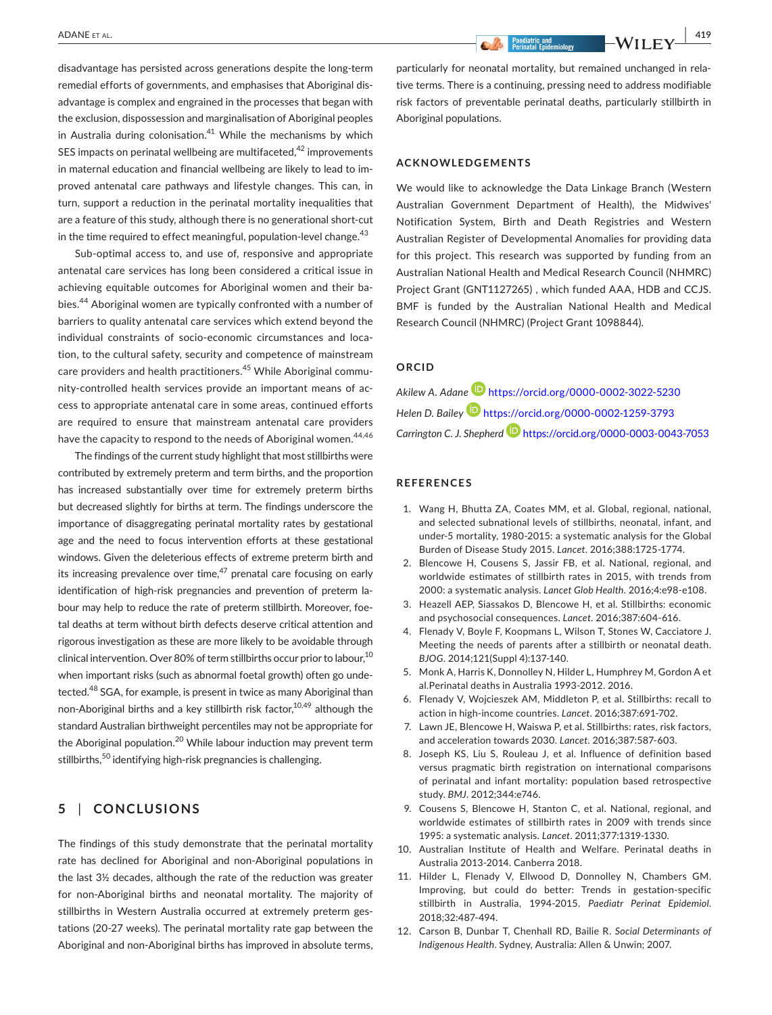disadvantage has persisted across generations despite the long‐term remedial efforts of governments, and emphasises that Aboriginal dis‐ advantage is complex and engrained in the processes that began with the exclusion, dispossession and marginalisation of Aboriginal peoples in Australia during colonisation. $41$  While the mechanisms by which SES impacts on perinatal wellbeing are multifaceted,<sup>42</sup> improvements in maternal education and financial wellbeing are likely to lead to im‐ proved antenatal care pathways and lifestyle changes. This can, in turn, support a reduction in the perinatal mortality inequalities that are a feature of this study, although there is no generational short-cut in the time required to effect meaningful, population-level change.<sup>43</sup>

Sub-optimal access to, and use of, responsive and appropriate antenatal care services has long been considered a critical issue in achieving equitable outcomes for Aboriginal women and their babies.44 Aboriginal women are typically confronted with a number of barriers to quality antenatal care services which extend beyond the individual constraints of socio‐economic circumstances and loca‐ tion, to the cultural safety, security and competence of mainstream care providers and health practitioners.<sup>45</sup> While Aboriginal community-controlled health services provide an important means of access to appropriate antenatal care in some areas, continued efforts are required to ensure that mainstream antenatal care providers have the capacity to respond to the needs of Aboriginal women.<sup>44,46</sup>

The findings of the current study highlight that most stillbirths were contributed by extremely preterm and term births, and the proportion has increased substantially over time for extremely preterm births but decreased slightly for births at term. The findings underscore the importance of disaggregating perinatal mortality rates by gestational age and the need to focus intervention efforts at these gestational windows. Given the deleterious effects of extreme preterm birth and its increasing prevalence over time,  $47$  prenatal care focusing on early identification of high-risk pregnancies and prevention of preterm labour may help to reduce the rate of preterm stillbirth. Moreover, foe‐ tal deaths at term without birth defects deserve critical attention and rigorous investigation as these are more likely to be avoidable through clinical intervention. Over 80% of term stillbirths occur prior to labour,<sup>10</sup> when important risks (such as abnormal foetal growth) often go undetected.<sup>48</sup> SGA, for example, is present in twice as many Aboriginal than non-Aboriginal births and a key stillbirth risk factor,<sup>10,49</sup> although the standard Australian birthweight percentiles may not be appropriate for the Aboriginal population.<sup>20</sup> While labour induction may prevent term stillbirths,<sup>50</sup> identifying high-risk pregnancies is challenging.

# **5** | **CONCLUSIONS**

The findings of this study demonstrate that the perinatal mortality rate has declined for Aboriginal and non‐Aboriginal populations in the last 3½ decades, although the rate of the reduction was greater for non‐Aboriginal births and neonatal mortality. The majority of stillbirths in Western Australia occurred at extremely preterm ges‐ tations (20‐27 weeks). The perinatal mortality rate gap between the Aboriginal and non‐Aboriginal births has improved in absolute terms, particularly for neonatal mortality, but remained unchanged in rela‐

tive terms. There is a continuing, pressing need to address modifiable risk factors of preventable perinatal deaths, particularly stillbirth in Aboriginal populations.

### **ACKNOWLEDGEMENTS**

We would like to acknowledge the Data Linkage Branch (Western Australian Government Department of Health), the Midwives' Notification System, Birth and Death Registries and Western Australian Register of Developmental Anomalies for providing data for this project. This research was supported by funding from an Australian National Health and Medical Research Council (NHMRC) Project Grant (GNT1127265) , which funded AAA, HDB and CCJS. BMF is funded by the Australian National Health and Medical Research Council (NHMRC) (Project Grant 1098844).

#### **ORCID**

*Akilew A. Adan[e](https://orcid.org/0000-0002-3022-5230)* <https://orcid.org/0000-0002-3022-5230> *Helen D. Bailey* <https://orcid.org/0000-0002-1259-3793> *Carrington C. J. Shepher[d](https://orcid.org/0000-0003-0043-7053)* <https://orcid.org/0000-0003-0043-7053>

#### **REFERENCES**

- 1. Wang H, Bhutta ZA, Coates MM, et al. Global, regional, national, and selected subnational levels of stillbirths, neonatal, infant, and under‐5 mortality, 1980‐2015: a systematic analysis for the Global Burden of Disease Study 2015. *Lancet*. 2016;388:1725‐1774.
- 2. Blencowe H, Cousens S, Jassir FB, et al. National, regional, and worldwide estimates of stillbirth rates in 2015, with trends from 2000: a systematic analysis. *Lancet Glob Health*. 2016;4:e98‐e108.
- 3. Heazell AEP, Siassakos D, Blencowe H, et al. Stillbirths: economic and psychosocial consequences. *Lancet*. 2016;387:604‐616.
- 4. Flenady V, Boyle F, Koopmans L, Wilson T, Stones W, Cacciatore J. Meeting the needs of parents after a stillbirth or neonatal death. *BJOG*. 2014;121(Suppl 4):137‐140.
- 5. Monk A, Harris K, Donnolley N, Hilder L, Humphrey M, Gordon A et al.Perinatal deaths in Australia 1993‐2012. 2016.
- 6. Flenady V, Wojcieszek AM, Middleton P, et al. Stillbirths: recall to action in high‐income countries. *Lancet*. 2016;387:691‐702.
- 7. Lawn JE, Blencowe H, Waiswa P, et al. Stillbirths: rates, risk factors, and acceleration towards 2030. *Lancet*. 2016;387:587‐603.
- 8. Joseph KS, Liu S, Rouleau J, et al. Influence of definition based versus pragmatic birth registration on international comparisons of perinatal and infant mortality: population based retrospective study. *BMJ*. 2012;344:e746.
- 9. Cousens S, Blencowe H, Stanton C, et al. National, regional, and worldwide estimates of stillbirth rates in 2009 with trends since 1995: a systematic analysis. *Lancet*. 2011;377:1319‐1330.
- 10. Australian Institute of Health and Welfare. Perinatal deaths in Australia 2013‐2014. Canberra 2018.
- 11. Hilder L, Flenady V, Ellwood D, Donnolley N, Chambers GM. Improving, but could do better: Trends in gestation‐specific stillbirth in Australia, 1994‐2015. *Paediatr Perinat Epidemiol*. 2018;32:487‐494.
- 12. Carson B, Dunbar T, Chenhall RD, Bailie R. *Social Determinants of Indigenous Health*. Sydney, Australia: Allen & Unwin; 2007.